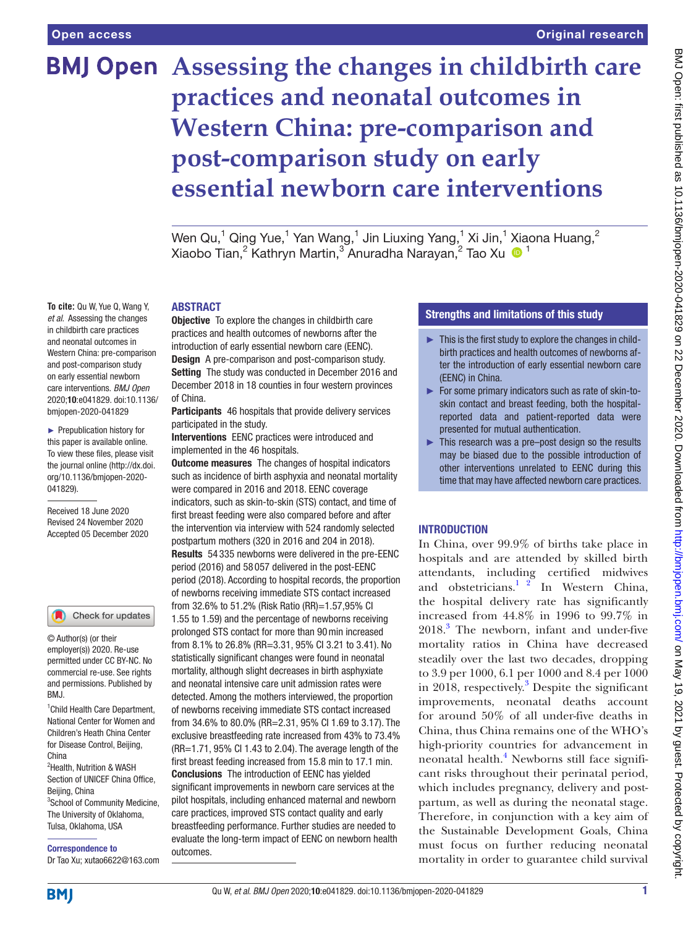**To cite:** Qu W, Yue Q, Wang Y, *et al*. Assessing the changes in childbirth care practices and neonatal outcomes in Western China: pre-comparison and post-comparison study on early essential newborn care interventions. *BMJ Open* 2020;10:e041829. doi:10.1136/ bmjopen-2020-041829 ► Prepublication history for this paper is available online. To view these files, please visit the journal online (http://dx.doi. org/10.1136/bmjopen-2020-

# **BMJ Open** Assessing the changes in childbirth care **practices and neonatal outcomes in Western China: pre-comparison and post-comparison study on early essential newborn care interventions**

Wen Qu,<sup>1</sup> Qing Yue,<sup>1</sup> Yan Wang,<sup>1</sup> Jin Liuxing Yang,<sup>1</sup> Xi Jin,<sup>1</sup> Xiaona Huang,<sup>2</sup> Xiaobo Tian,2 Kathryn Martin,3 Anuradha Narayan,2 Tao Xu <sup>1</sup>

# ABSTRACT

**Objective** To explore the changes in childbirth care practices and health outcomes of newborns after the introduction of early essential newborn care (EENC). **Design** A pre-comparison and post-comparison study. Setting The study was conducted in December 2016 and December 2018 in 18 counties in four western provinces of China.

Participants 46 hospitals that provide delivery services participated in the study.

Interventions EENC practices were introduced and implemented in the 46 hospitals.

**Outcome measures** The changes of hospital indicators such as incidence of birth asphyxia and neonatal mortality were compared in 2016 and 2018. EENC coverage indicators, such as skin-to-skin (STS) contact, and time of first breast feeding were also compared before and after the intervention via interview with 524 randomly selected postpartum mothers (320 in 2016 and 204 in 2018). Results 54 335 newborns were delivered in the pre-EENC period (2016) and 58 057 delivered in the post-EENC period (2018). According to hospital records, the proportion of newborns receiving immediate STS contact increased from 32.6% to 51.2% (Risk Ratio (RR)=1.57,95% CI 1.55 to 1.59) and the percentage of newborns receiving prolonged STS contact for more than 90min increased from 8.1% to 26.8% (RR=3.31, 95% CI 3.21 to 3.41). No statistically significant changes were found in neonatal mortality, although slight decreases in birth asphyxiate and neonatal intensive care unit admission rates were detected. Among the mothers interviewed, the proportion of newborns receiving immediate STS contact increased from 34.6% to 80.0% (RR=2.31, 95% CI 1.69 to 3.17). The exclusive breastfeeding rate increased from 43% to 73.4% (RR=1.71, 95% CI 1.43 to 2.04). The average length of the first breast feeding increased from 15.8 min to 17.1 min. Conclusions The introduction of EENC has yielded significant improvements in newborn care services at the pilot hospitals, including enhanced maternal and newborn care practices, improved STS contact quality and early breastfeeding performance. Further studies are needed to evaluate the long-term impact of EENC on newborn health outcomes.

# Strengths and limitations of this study

- $\blacktriangleright$  This is the first study to explore the changes in childbirth practices and health outcomes of newborns after the introduction of early essential newborn care (EENC) in China.
- ► For some primary indicators such as rate of skin-toskin contact and breast feeding, both the hospitalreported data and patient-reported data were presented for mutual authentication.
- ► This research was a pre–post design so the results may be biased due to the possible introduction of other interventions unrelated to EENC during this time that may have affected newborn care practices.

# INTRODUCTION

In China, over 99.9% of births take place in hospitals and are attended by skilled birth attendants, including certified midwives and obstetricians.<sup>1</sup>  $^{2}$  In Western China, the hospital delivery rate has significantly increased from 44.8% in 1996 to 99.7% in 2018.<sup>[3](#page-5-1)</sup> The newborn, infant and under-five mortality ratios in China have decreased steadily over the last two decades, dropping to 3.9 per 1000, 6.1 per 1000 and 8.4 per 1000 in 2018, respectively.<sup>[3](#page-5-1)</sup> Despite the significant improvements, neonatal deaths account for around 50% of all under-five deaths in China, thus China remains one of the WHO's high-priority countries for advancement in neonatal health.<sup>[4](#page-6-0)</sup> Newborns still face significant risks throughout their perinatal period, which includes pregnancy, delivery and postpartum, as well as during the neonatal stage. Therefore, in conjunction with a key aim of the Sustainable Development Goals, China must focus on further reducing neonatal mortality in order to guarantee child survival

Check for updates

041829).

Received 18 June 2020 Revised 24 November 2020 Accepted 05 December 2020

© Author(s) (or their employer(s)) 2020. Re-use permitted under CC BY-NC. No commercial re-use. See rights and permissions. Published by RM<sub>J</sub>

<sup>1</sup> Child Health Care Department, National Center for Women and Children's Heath China Center for Disease Control, Beijing, China

<sup>2</sup>Health, Nutrition & WASH Section of UNICEF China Office, Beijing, China 3 School of Community Medicine, The University of Oklahoma, Tulsa, Oklahoma, USA

Correspondence to

**BMI** 

Dr Tao Xu; xutao6622@163.com

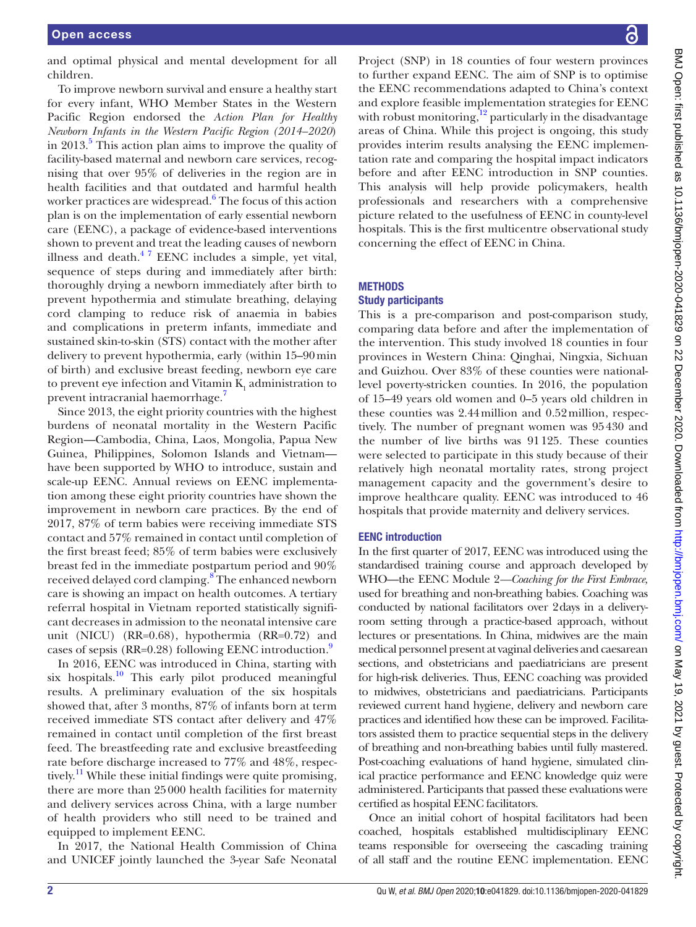and optimal physical and mental development for all children.

To improve newborn survival and ensure a healthy start for every infant, WHO Member States in the Western Pacific Region endorsed the *Action Plan for Healthy Newborn Infants in the Western Pacific Region (2014–2020*) in 2013.<sup>[5](#page-6-1)</sup> This action plan aims to improve the quality of facility-based maternal and newborn care services, recognising that over 95% of deliveries in the region are in health facilities and that outdated and harmful health worker practices are widespread.<sup>6</sup> The focus of this action plan is on the implementation of early essential newborn care (EENC), a package of evidence-based interventions shown to prevent and treat the leading causes of newborn illness and death. $47$  EENC includes a simple, yet vital, sequence of steps during and immediately after birth: thoroughly drying a newborn immediately after birth to prevent hypothermia and stimulate breathing, delaying cord clamping to reduce risk of anaemia in babies and complications in preterm infants, immediate and sustained skin-to-skin (STS) contact with the mother after delivery to prevent hypothermia, early (within 15–90min of birth) and exclusive breast feeding, newborn eye care to prevent eye infection and Vitamin  $K_1$  administration to prevent intracranial haemorrhage.<sup>[7](#page-6-3)</sup>

Since 2013, the eight priority countries with the highest burdens of neonatal mortality in the Western Pacific Region—Cambodia, China, Laos, Mongolia, Papua New Guinea, Philippines, Solomon Islands and Vietnam have been supported by WHO to introduce, sustain and scale-up EENC. Annual reviews on EENC implementation among these eight priority countries have shown the improvement in newborn care practices. By the end of 2017, 87% of term babies were receiving immediate STS contact and 57% remained in contact until completion of the first breast feed; 85% of term babies were exclusively breast fed in the immediate postpartum period and 90% received delayed cord clamping.<sup>[8](#page-6-4)</sup> The enhanced newborn care is showing an impact on health outcomes. A tertiary referral hospital in Vietnam reported statistically significant decreases in admission to the neonatal intensive care unit (NICU) (RR=0.68), hypothermia (RR=0.72) and cases of sepsis (RR=0.28) following EENC introduction.<sup>9</sup>

In 2016, EENC was introduced in China, starting with six hospitals.<sup>10</sup> This early pilot produced meaningful results. A preliminary evaluation of the six hospitals showed that, after 3 months, 87% of infants born at term received immediate STS contact after delivery and 47% remained in contact until completion of the first breast feed. The breastfeeding rate and exclusive breastfeeding rate before discharge increased to 77% and 48%, respectively.<sup>11</sup> While these initial findings were quite promising, there are more than 25000 health facilities for maternity and delivery services across China, with a large number of health providers who still need to be trained and equipped to implement EENC.

In 2017, the National Health Commission of China and UNICEF jointly launched the 3-year Safe Neonatal

Project (SNP) in 18 counties of four western provinces to further expand EENC. The aim of SNP is to optimise the EENC recommendations adapted to China's context and explore feasible implementation strategies for EENC with robust monitoring, $12$  particularly in the disadvantage areas of China. While this project is ongoing, this study provides interim results analysing the EENC implementation rate and comparing the hospital impact indicators before and after EENC introduction in SNP counties. This analysis will help provide policymakers, health professionals and researchers with a comprehensive picture related to the usefulness of EENC in county-level hospitals. This is the first multicentre observational study concerning the effect of EENC in China.

#### **METHODS**

#### Study participants

This is a pre-comparison and post-comparison study, comparing data before and after the implementation of the intervention. This study involved 18 counties in four provinces in Western China: Qinghai, Ningxia, Sichuan and Guizhou. Over 83% of these counties were nationallevel poverty-stricken counties. In 2016, the population of 15–49 years old women and 0–5 years old children in these counties was 2.44million and 0.52million, respectively. The number of pregnant women was 95430 and the number of live births was 91125. These counties were selected to participate in this study because of their relatively high neonatal mortality rates, strong project management capacity and the government's desire to improve healthcare quality. EENC was introduced to 46 hospitals that provide maternity and delivery services.

#### EENC introduction

In the first quarter of 2017, EENC was introduced using the standardised training course and approach developed by WHO—the EENC Module 2*—Coaching for the First Embrace,* used for breathing and non-breathing babies. Coaching was conducted by national facilitators over 2days in a deliveryroom setting through a practice-based approach, without lectures or presentations. In China, midwives are the main medical personnel present at vaginal deliveries and caesarean sections, and obstetricians and paediatricians are present for high-risk deliveries. Thus, EENC coaching was provided to midwives, obstetricians and paediatricians. Participants reviewed current hand hygiene, delivery and newborn care practices and identified how these can be improved. Facilitators assisted them to practice sequential steps in the delivery of breathing and non-breathing babies until fully mastered. Post-coaching evaluations of hand hygiene, simulated clinical practice performance and EENC knowledge quiz were administered. Participants that passed these evaluations were certified as hospital EENC facilitators.

Once an initial cohort of hospital facilitators had been coached, hospitals established multidisciplinary EENC teams responsible for overseeing the cascading training of all staff and the routine EENC implementation. EENC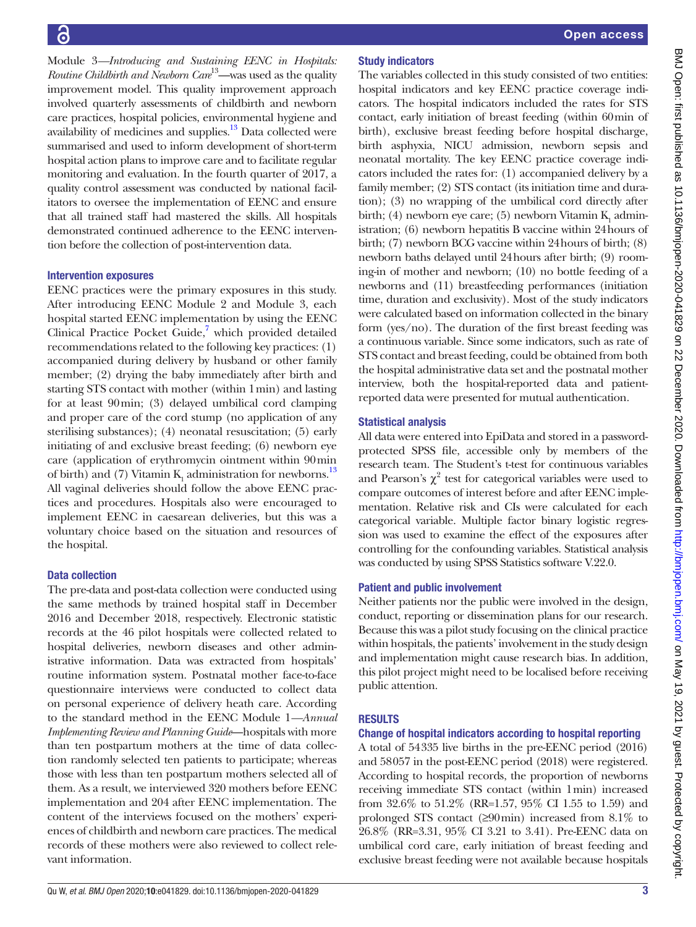Module 3*—Introducing and Sustaining EENC in Hospitals: Routine Childbirth and Newborn Care*<sup>13</sup>—was used as the quality improvement model. This quality improvement approach involved quarterly assessments of childbirth and newborn care practices, hospital policies, environmental hygiene and availability of medicines and supplies.<sup>[13](#page-6-9)</sup> Data collected were summarised and used to inform development of short-term hospital action plans to improve care and to facilitate regular monitoring and evaluation. In the fourth quarter of 2017, a quality control assessment was conducted by national facilitators to oversee the implementation of EENC and ensure that all trained staff had mastered the skills. All hospitals demonstrated continued adherence to the EENC intervention before the collection of post-intervention data.

#### Intervention exposures

EENC practices were the primary exposures in this study. After introducing EENC Module 2 and Module 3, each hospital started EENC implementation by using the EENC Clinical Practice Pocket Guide,<sup>[7](#page-6-3)</sup> which provided detailed recommendations related to the following key practices: (1) accompanied during delivery by husband or other family member; (2) drying the baby immediately after birth and starting STS contact with mother (within 1min) and lasting for at least 90min; (3) delayed umbilical cord clamping and proper care of the cord stump (no application of any sterilising substances); (4) neonatal resuscitation; (5) early initiating of and exclusive breast feeding; (6) newborn eye care (application of erythromycin ointment within 90min of birth) and (7) Vitamin  $K_1$  administration for newborns.<sup>[13](#page-6-9)</sup> All vaginal deliveries should follow the above EENC practices and procedures. Hospitals also were encouraged to implement EENC in caesarean deliveries, but this was a voluntary choice based on the situation and resources of the hospital.

#### Data collection

The pre-data and post-data collection were conducted using the same methods by trained hospital staff in December 2016 and December 2018, respectively. Electronic statistic records at the 46 pilot hospitals were collected related to hospital deliveries, newborn diseases and other administrative information. Data was extracted from hospitals' routine information system. Postnatal mother face-to-face questionnaire interviews were conducted to collect data on personal experience of delivery heath care. According to the standard method in the EENC Module 1*—Annual Implementing Review and Planning Guide*—hospitals with more than ten postpartum mothers at the time of data collection randomly selected ten patients to participate; whereas those with less than ten postpartum mothers selected all of them. As a result, we interviewed 320 mothers before EENC implementation and 204 after EENC implementation. The content of the interviews focused on the mothers' experiences of childbirth and newborn care practices. The medical records of these mothers were also reviewed to collect relevant information.

# Study indicators

The variables collected in this study consisted of two entities: hospital indicators and key EENC practice coverage indicators. The hospital indicators included the rates for STS contact, early initiation of breast feeding (within 60min of birth), exclusive breast feeding before hospital discharge, birth asphyxia, NICU admission, newborn sepsis and neonatal mortality. The key EENC practice coverage indicators included the rates for: (1) accompanied delivery by a family member; (2) STS contact (its initiation time and duration); (3) no wrapping of the umbilical cord directly after birth; (4) newborn eye care; (5) newborn Vitamin  $K_1$  administration; (6) newborn hepatitis B vaccine within 24hours of birth; (7) newborn BCG vaccine within 24hours of birth; (8) newborn baths delayed until 24hours after birth; (9) rooming-in of mother and newborn; (10) no bottle feeding of a newborns and (11) breastfeeding performances (initiation time, duration and exclusivity). Most of the study indicators were calculated based on information collected in the binary form (yes/no). The duration of the first breast feeding was a continuous variable. Since some indicators, such as rate of STS contact and breast feeding, could be obtained from both the hospital administrative data set and the postnatal mother interview, both the hospital-reported data and patientreported data were presented for mutual authentication.

#### Statistical analysis

All data were entered into EpiData and stored in a passwordprotected SPSS file, accessible only by members of the research team. The Student's t-test for continuous variables and Pearson's  $\chi^2$  test for categorical variables were used to compare outcomes of interest before and after EENC implementation. Relative risk and CIs were calculated for each categorical variable. Multiple factor binary logistic regression was used to examine the effect of the exposures after controlling for the confounding variables. Statistical analysis was conducted by using SPSS Statistics software V.22.0.

#### Patient and public involvement

Neither patients nor the public were involved in the design, conduct, reporting or dissemination plans for our research. Because this was a pilot study focusing on the clinical practice within hospitals, the patients' involvement in the study design and implementation might cause research bias. In addition, this pilot project might need to be localised before receiving public attention.

# RESULTS

# Change of hospital indicators according to hospital reporting

A total of 54335 live births in the pre-EENC period (2016) and 58057 in the post-EENC period (2018) were registered. According to hospital records, the proportion of newborns receiving immediate STS contact (within 1min) increased from 32.6% to 51.2% (RR=1.57, 95% CI 1.55 to 1.59) and prolonged STS contact (≥90min) increased from 8.1% to 26.8% (RR=3.31, 95% CI 3.21 to 3.41). Pre-EENC data on umbilical cord care, early initiation of breast feeding and exclusive breast feeding were not available because hospitals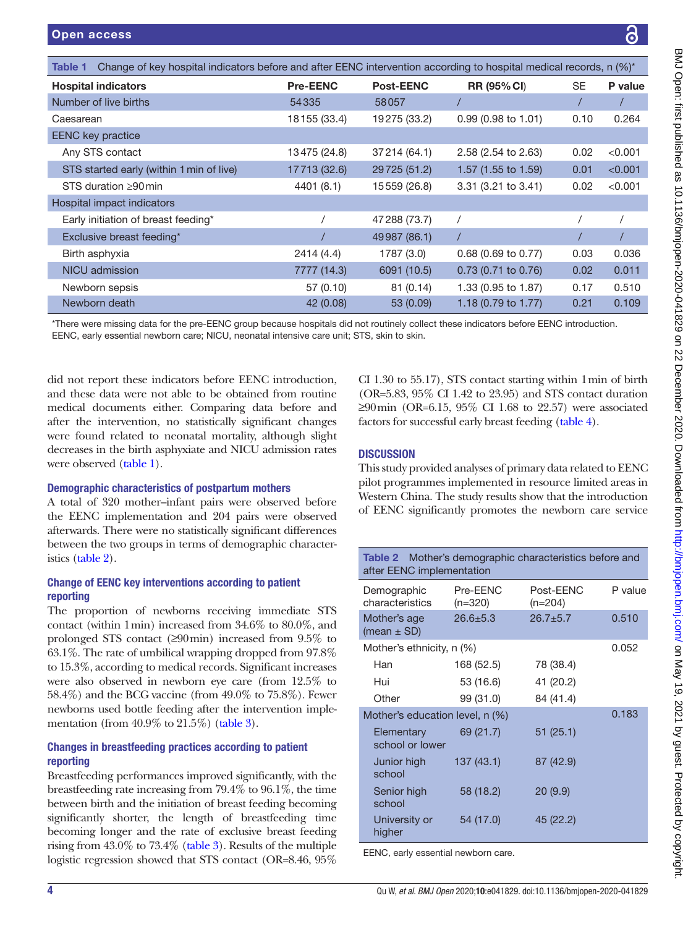<span id="page-3-0"></span>

| Change of key hospital indicators before and after EENC intervention according to hospital medical records, n (%)*<br>Table 1 |                 |                  |                               |           |         |
|-------------------------------------------------------------------------------------------------------------------------------|-----------------|------------------|-------------------------------|-----------|---------|
| <b>Hospital indicators</b>                                                                                                    | <b>Pre-EENC</b> | <b>Post-EENC</b> | <b>RR (95% CI)</b>            | <b>SE</b> | P value |
| Number of live births                                                                                                         | 54335           | 58057            |                               |           |         |
| Caesarean                                                                                                                     | 18155 (33.4)    | 19275 (33.2)     | $0.99(0.98 \text{ to } 1.01)$ | 0.10      | 0.264   |
| <b>EENC</b> key practice                                                                                                      |                 |                  |                               |           |         |
| Any STS contact                                                                                                               | 13475 (24.8)    | 37214 (64.1)     | 2.58 (2.54 to 2.63)           | 0.02      | < 0.001 |
| STS started early (within 1 min of live)                                                                                      | 17713 (32.6)    | 29725 (51.2)     | 1.57 (1.55 to 1.59)           | 0.01      | < 0.001 |
| STS duration $\geq 90$ min                                                                                                    | 4401 (8.1)      | 15559 (26.8)     | 3.31 (3.21 to 3.41)           | 0.02      | < 0.001 |
| Hospital impact indicators                                                                                                    |                 |                  |                               |           |         |
| Early initiation of breast feeding*                                                                                           |                 | 47 288 (73.7)    |                               |           |         |
| Exclusive breast feeding*                                                                                                     |                 | 49987 (86.1)     |                               |           |         |
| Birth asphyxia                                                                                                                | 2414 (4.4)      | 1787 (3.0)       | 0.68 (0.69 to 0.77)           | 0.03      | 0.036   |
| NICU admission                                                                                                                | 7777 (14.3)     | 6091 (10.5)      | $0.73$ (0.71 to 0.76)         | 0.02      | 0.011   |
| Newborn sepsis                                                                                                                | 57 (0.10)       | 81(0.14)         | 1.33 (0.95 to 1.87)           | 0.17      | 0.510   |
| Newborn death                                                                                                                 | 42 (0.08)       | 53 (0.09)        | 1.18 (0.79 to 1.77)           | 0.21      | 0.109   |

\*There were missing data for the pre-EENC group because hospitals did not routinely collect these indicators before EENC introduction. EENC, early essential newborn care; NICU, neonatal intensive care unit; STS, skin to skin.

did not report these indicators before EENC introduction, and these data were not able to be obtained from routine medical documents either. Comparing data before and after the intervention, no statistically significant changes were found related to neonatal mortality, although slight decreases in the birth asphyxiate and NICU admission rates were observed [\(table](#page-3-0) 1).

#### Demographic characteristics of postpartum mothers

A total of 320 mother–infant pairs were observed before the EENC implementation and 204 pairs were observed afterwards. There were no statistically significant differences between the two groups in terms of demographic characteristics [\(table](#page-3-1) 2).

#### Change of EENC key interventions according to patient reporting

The proportion of newborns receiving immediate STS contact (within 1min) increased from 34.6% to 80.0%, and prolonged STS contact (≥90min) increased from 9.5% to 63.1%. The rate of umbilical wrapping dropped from 97.8% to 15.3%, according to medical records. Significant increases were also observed in newborn eye care (from 12.5% to 58.4%) and the BCG vaccine (from 49.0% to 75.8%). Fewer newborns used bottle feeding after the intervention implementation (from 40.9% to 21.5%) ([table](#page-4-0) 3).

# Changes in breastfeeding practices according to patient reporting

Breastfeeding performances improved significantly, with the breastfeeding rate increasing from 79.4% to 96.1%, the time between birth and the initiation of breast feeding becoming significantly shorter, the length of breastfeeding time becoming longer and the rate of exclusive breast feeding rising from 43.0% to 73.4% ([table](#page-4-0) 3). Results of the multiple logistic regression showed that STS contact (OR=8.46, 95%

CI 1.30 to 55.17), STS contact starting within 1min of birth (OR=5.83, 95% CI 1.42 to 23.95) and STS contact duration ≥90min (OR=6.15, 95% CI 1.68 to 22.57) were associated factors for successful early breast feeding [\(table](#page-4-1) 4).

# **DISCUSSION**

This study provided analyses of primary data related to EENC pilot programmes implemented in resource limited areas in Western China. The study results show that the introduction of EENC significantly promotes the newborn care service

<span id="page-3-1"></span>

| <b>Table 2</b> Mother's demographic characteristics before and<br>after EENC implementation |                       |                        |         |  |
|---------------------------------------------------------------------------------------------|-----------------------|------------------------|---------|--|
| Demographic<br>characteristics                                                              | Pre-EENC<br>$(n=320)$ | Post-EENC<br>$(n=204)$ | P value |  |
| Mother's age<br>(mean $\pm$ SD)                                                             | $26.6 + 5.3$          | $26.7 + 5.7$           | 0.510   |  |
| Mother's ethnicity, n (%)                                                                   |                       |                        | 0.052   |  |
| Han                                                                                         | 168 (52.5)            | 78 (38.4)              |         |  |
| Hui                                                                                         | 53 (16.6)             | 41 (20.2)              |         |  |
| Other                                                                                       | 99 (31.0)             | 84 (41.4)              |         |  |
| Mother's education level, n (%)                                                             |                       |                        | 0.183   |  |
| Elementary<br>school or lower                                                               | 69 (21.7)             | 51(25.1)               |         |  |
| Junior high<br>school                                                                       | 137(43.1)             | 87 (42.9)              |         |  |
| Senior high<br>school                                                                       | 58 (18.2)             | 20(9.9)                |         |  |
| University or<br>higher                                                                     | 54 (17.0)             | 45 (22.2)              |         |  |
| EENC, early essential newborn care.                                                         |                       |                        |         |  |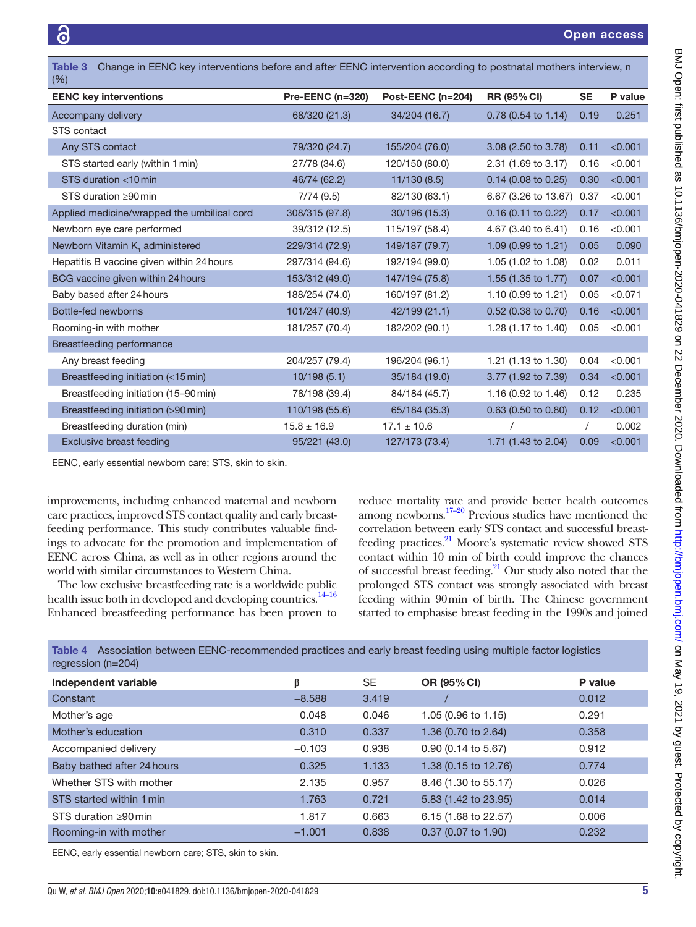<span id="page-4-0"></span>

| Change in EENC key interventions before and after EENC intervention according to postnatal mothers interview, n<br>Table 3<br>$(\% )$ |                         |                   |                       |            |         |
|---------------------------------------------------------------------------------------------------------------------------------------|-------------------------|-------------------|-----------------------|------------|---------|
| <b>EENC key interventions</b>                                                                                                         | <b>Pre-EENC (n=320)</b> | Post-EENC (n=204) | <b>RR (95% CI)</b>    | <b>SE</b>  | P value |
| Accompany delivery                                                                                                                    | 68/320 (21.3)           | 34/204 (16.7)     | 0.78 (0.54 to 1.14)   | 0.19       | 0.251   |
| STS contact                                                                                                                           |                         |                   |                       |            |         |
| Any STS contact                                                                                                                       | 79/320 (24.7)           | 155/204 (76.0)    | 3.08 (2.50 to 3.78)   | 0.11       | < 0.001 |
| STS started early (within 1 min)                                                                                                      | 27/78 (34.6)            | 120/150 (80.0)    | 2.31 (1.69 to 3.17)   | 0.16       | < 0.001 |
| STS duration <10 min                                                                                                                  | 46/74 (62.2)            | 11/130(8.5)       | 0.14 (0.08 to 0.25)   | 0.30       | < 0.001 |
| STS duration $\geq 90$ min                                                                                                            | 7/74(9.5)               | 82/130 (63.1)     | 6.67 (3.26 to 13.67)  | 0.37       | < 0.001 |
| Applied medicine/wrapped the umbilical cord                                                                                           | 308/315 (97.8)          | 30/196 (15.3)     | $0.16$ (0.11 to 0.22) | 0.17       | < 0.001 |
| Newborn eye care performed                                                                                                            | 39/312 (12.5)           | 115/197 (58.4)    | 4.67 (3.40 to 6.41)   | 0.16       | < 0.001 |
| Newborn Vitamin K, administered                                                                                                       | 229/314 (72.9)          | 149/187 (79.7)    | 1.09 (0.99 to 1.21)   | 0.05       | 0.090   |
| Hepatitis B vaccine given within 24 hours                                                                                             | 297/314 (94.6)          | 192/194 (99.0)    | 1.05 (1.02 to 1.08)   | 0.02       | 0.011   |
| BCG vaccine given within 24 hours                                                                                                     | 153/312 (49.0)          | 147/194 (75.8)    | 1.55 (1.35 to 1.77)   | 0.07       | < 0.001 |
| Baby based after 24 hours                                                                                                             | 188/254 (74.0)          | 160/197 (81.2)    | 1.10 (0.99 to 1.21)   | 0.05       | < 0.071 |
| Bottle-fed newborns                                                                                                                   | 101/247 (40.9)          | 42/199 (21.1)     | 0.52 (0.38 to 0.70)   | 0.16       | < 0.001 |
| Rooming-in with mother                                                                                                                | 181/257 (70.4)          | 182/202 (90.1)    | 1.28 (1.17 to 1.40)   | 0.05       | < 0.001 |
| Breastfeeding performance                                                                                                             |                         |                   |                       |            |         |
| Any breast feeding                                                                                                                    | 204/257 (79.4)          | 196/204 (96.1)    | 1.21 (1.13 to 1.30)   | 0.04       | < 0.001 |
| Breastfeeding initiation (<15 min)                                                                                                    | 10/198(5.1)             | 35/184 (19.0)     | 3.77 (1.92 to 7.39)   | 0.34       | < 0.001 |
| Breastfeeding initiation (15-90 min)                                                                                                  | 78/198 (39.4)           | 84/184 (45.7)     | 1.16 (0.92 to 1.46)   | 0.12       | 0.235   |
| Breastfeeding initiation (>90 min)                                                                                                    | 110/198 (55.6)          | 65/184 (35.3)     | 0.63 (0.50 to 0.80)   | 0.12       | < 0.001 |
| Breastfeeding duration (min)                                                                                                          | $15.8 \pm 16.9$         | $17.1 \pm 10.6$   |                       | $\sqrt{2}$ | 0.002   |
| Exclusive breast feeding                                                                                                              | 95/221 (43.0)           | 127/173 (73.4)    | 1.71 (1.43 to 2.04)   | 0.09       | < 0.001 |

EENC, early essential newborn care; STS, skin to skin.

improvements, including enhanced maternal and newborn care practices, improved STS contact quality and early breastfeeding performance. This study contributes valuable findings to advocate for the promotion and implementation of EENC across China, as well as in other regions around the world with similar circumstances to Western China.

The low exclusive breastfeeding rate is a worldwide public health issue both in developed and developing countries.<sup>14–16</sup> Enhanced breastfeeding performance has been proven to

reduce mortality rate and provide better health outcomes among newborns.<sup>17–20</sup> Previous studies have mentioned the correlation between early STS contact and successful breastfeeding practices.<sup>21</sup> Moore's systematic review showed STS contact within 10 min of birth could improve the chances of successful breast feeding[.21](#page-6-12) Our study also noted that the prolonged STS contact was strongly associated with breast feeding within 90min of birth. The Chinese government started to emphasise breast feeding in the 1990s and joined

<span id="page-4-1"></span>

| Association between EENC-recommended practices and early breast feeding using multiple factor logistics<br>Table 4<br>regression $(n=204)$ |          |           |                       |         |
|--------------------------------------------------------------------------------------------------------------------------------------------|----------|-----------|-----------------------|---------|
| Independent variable                                                                                                                       | ß        | <b>SE</b> | OR (95% CI)           | P value |
| Constant                                                                                                                                   | $-8.588$ | 3.419     |                       | 0.012   |
| Mother's age                                                                                                                               | 0.048    | 0.046     | 1.05 (0.96 to 1.15)   | 0.291   |
| Mother's education                                                                                                                         | 0.310    | 0.337     | 1.36 (0.70 to 2.64)   | 0.358   |
| Accompanied delivery                                                                                                                       | $-0.103$ | 0.938     | $0.90$ (0.14 to 5.67) | 0.912   |
| Baby bathed after 24 hours                                                                                                                 | 0.325    | 1.133     | 1.38 (0.15 to 12.76)  | 0.774   |
| Whether STS with mother                                                                                                                    | 2.135    | 0.957     | 8.46 (1.30 to 55.17)  | 0.026   |
| STS started within 1 min                                                                                                                   | 1.763    | 0.721     | 5.83 (1.42 to 23.95)  | 0.014   |
| STS duration >90 min                                                                                                                       | 1.817    | 0.663     | 6.15 (1.68 to 22.57)  | 0.006   |
| Rooming-in with mother                                                                                                                     | $-1.001$ | 0.838     | 0.37 (0.07 to 1.90)   | 0.232   |

EENC, early essential newborn care; STS, skin to skin.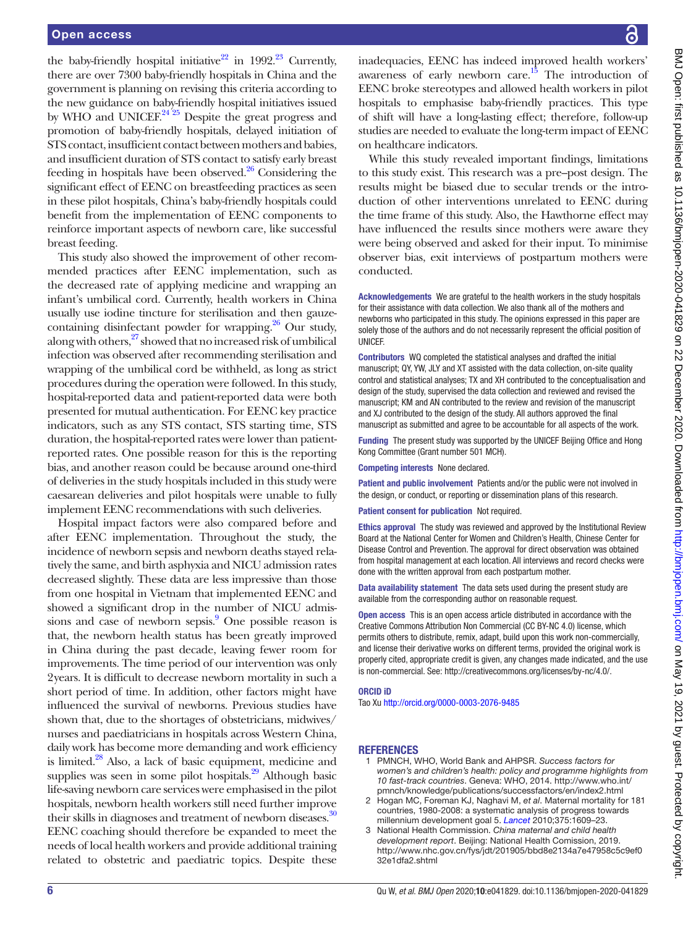the baby-friendly hospital initiative<sup>22</sup> in 1992.<sup>[23](#page-6-14)</sup> Currently, there are over 7300 baby-friendly hospitals in China and the government is planning on revising this criteria according to the new guidance on baby-friendly hospital initiatives issued by WHO and UNICEF. $24^{25}$  Despite the great progress and promotion of baby-friendly hospitals, delayed initiation of STS contact, insufficient contact between mothers and babies, and insufficient duration of STS contact to satisfy early breast feeding in hospitals have been observed. $26$  Considering the significant effect of EENC on breastfeeding practices as seen in these pilot hospitals, China's baby-friendly hospitals could benefit from the implementation of EENC components to reinforce important aspects of newborn care, like successful breast feeding.

This study also showed the improvement of other recommended practices after EENC implementation, such as the decreased rate of applying medicine and wrapping an infant's umbilical cord. Currently, health workers in China usually use iodine tincture for sterilisation and then gauzecontaining disinfectant powder for wrapping.<sup>26</sup> Our study, along with others, $27$  showed that no increased risk of umbilical infection was observed after recommending sterilisation and wrapping of the umbilical cord be withheld, as long as strict procedures during the operation were followed. In this study, hospital-reported data and patient-reported data were both presented for mutual authentication. For EENC key practice indicators, such as any STS contact, STS starting time, STS duration, the hospital-reported rates were lower than patientreported rates. One possible reason for this is the reporting bias, and another reason could be because around one-third of deliveries in the study hospitals included in this study were caesarean deliveries and pilot hospitals were unable to fully implement EENC recommendations with such deliveries.

Hospital impact factors were also compared before and after EENC implementation. Throughout the study, the incidence of newborn sepsis and newborn deaths stayed relatively the same, and birth asphyxia and NICU admission rates decreased slightly. These data are less impressive than those from one hospital in Vietnam that implemented EENC and showed a significant drop in the number of NICU admissions and case of newborn sepsis.<sup>9</sup> One possible reason is that, the newborn health status has been greatly improved in China during the past decade, leaving fewer room for improvements. The time period of our intervention was only 2years. It is difficult to decrease newborn mortality in such a short period of time. In addition, other factors might have influenced the survival of newborns. Previous studies have shown that, due to the shortages of obstetricians, midwives/ nurses and paediatricians in hospitals across Western China, daily work has become more demanding and work efficiency is limited.<sup>28</sup> Also, a lack of basic equipment, medicine and supplies was seen in some pilot hospitals.<sup>29</sup> Although basic life-saving newborn care services were emphasised in the pilot hospitals, newborn health workers still need further improve their skills in diagnoses and treatment of newborn diseases.<sup>[30](#page-6-20)</sup> EENC coaching should therefore be expanded to meet the needs of local health workers and provide additional training related to obstetric and paediatric topics. Despite these

inadequacies, EENC has indeed improved health workers' awareness of early newborn care.<sup>15</sup> The introduction of EENC broke stereotypes and allowed health workers in pilot hospitals to emphasise baby-friendly practices. This type of shift will have a long-lasting effect; therefore, follow-up studies are needed to evaluate the long-term impact of EENC on healthcare indicators.

While this study revealed important findings, limitations to this study exist. This research was a pre–post design. The results might be biased due to secular trends or the introduction of other interventions unrelated to EENC during the time frame of this study. Also, the Hawthorne effect may have influenced the results since mothers were aware they were being observed and asked for their input. To minimise observer bias, exit interviews of postpartum mothers were conducted.

Acknowledgements We are grateful to the health workers in the study hospitals for their assistance with data collection. We also thank all of the mothers and newborns who participated in this study. The opinions expressed in this paper are solely those of the authors and do not necessarily represent the official position of UNICEF.

Contributors WQ completed the statistical analyses and drafted the initial manuscript; QY, YW, JLY and XT assisted with the data collection, on-site quality control and statistical analyses; TX and XH contributed to the conceptualisation and design of the study, supervised the data collection and reviewed and revised the manuscript; KM and AN contributed to the review and revision of the manuscript and XJ contributed to the design of the study. All authors approved the final manuscript as submitted and agree to be accountable for all aspects of the work.

Funding The present study was supported by the UNICEF Beijing Office and Hong Kong Committee (Grant number 501 MCH).

Competing interests None declared.

Patient and public involvement Patients and/or the public were not involved in the design, or conduct, or reporting or dissemination plans of this research.

Patient consent for publication Not required.

Ethics approval The study was reviewed and approved by the Institutional Review Board at the National Center for Women and Children's Health, Chinese Center for Disease Control and Prevention. The approval for direct observation was obtained from hospital management at each location. All interviews and record checks were done with the written approval from each postpartum mother.

Data availability statement The data sets used during the present study are available from the corresponding author on reasonable request.

Open access This is an open access article distributed in accordance with the Creative Commons Attribution Non Commercial (CC BY-NC 4.0) license, which permits others to distribute, remix, adapt, build upon this work non-commercially, and license their derivative works on different terms, provided the original work is properly cited, appropriate credit is given, any changes made indicated, and the use is non-commercial. See: [http://creativecommons.org/licenses/by-nc/4.0/.](http://creativecommons.org/licenses/by-nc/4.0/)

#### ORCID iD

Tao Xu<http://orcid.org/0000-0003-2076-9485>

#### REFERENCES

- <span id="page-5-0"></span>1 PMNCH, WHO, World Bank and AHPSR. *Success factors for women's and children's health: policy and programme highlights from 10 fast-track countries*. Geneva: WHO, 2014. [http://www.who.int/](http://www.who.int/pmnch/knowledge/publications/successfactors/en/index2.html) [pmnch/knowledge/publications/successfactors/en/index2.html](http://www.who.int/pmnch/knowledge/publications/successfactors/en/index2.html)
- 2 Hogan MC, Foreman KJ, Naghavi M, *et al*. Maternal mortality for 181 countries, 1980-2008: a systematic analysis of progress towards millennium development goal 5. *[Lancet](http://dx.doi.org/10.1016/S0140-6736(10)60518-1)* 2010;375:1609–23.
- <span id="page-5-1"></span>3 National Health Commission. *China maternal and child health development report*. Beijing: National Health Comission, 2019. [http://www.nhc.gov.cn/fys/jdt/201905/bbd8e2134a7e47958c5c9ef0](http://www.nhc.gov.cn/fys/jdt/201905/bbd8e2134a7e47958c5c9ef032e1dfa2.shtml) [32e1dfa2.shtml](http://www.nhc.gov.cn/fys/jdt/201905/bbd8e2134a7e47958c5c9ef032e1dfa2.shtml)